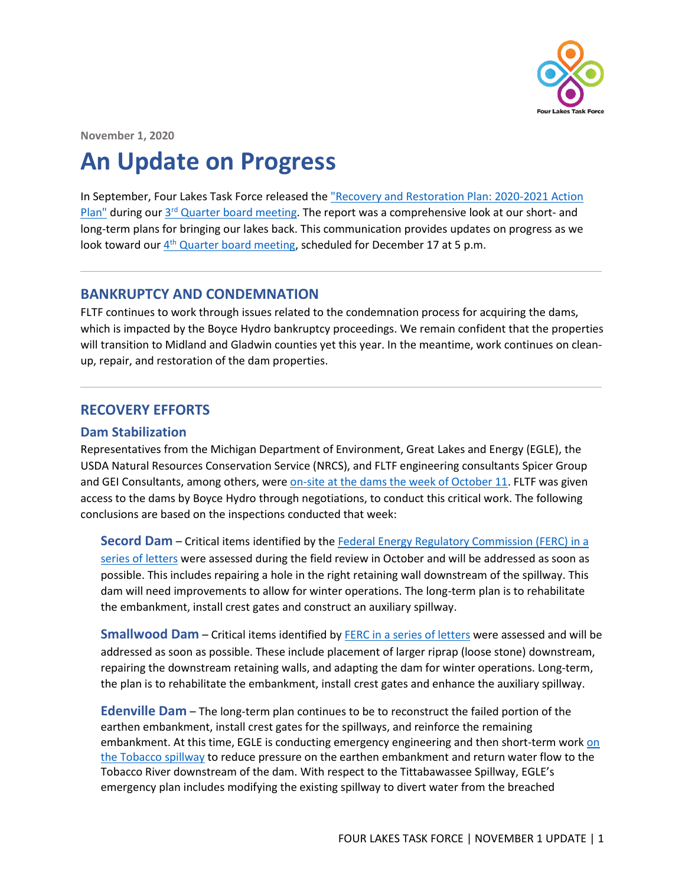

**November 1, 2020**

# **An Update on Progress**

In September, Four Lakes Task Force released the ["Recovery and Restoration Plan:](https://www.four-lakes-taskforce-mi.com/uploads/1/2/3/1/123199575/fltf_recovery_restoration_plan_9.15.2020.pdf) 2020-2021 Action [Plan"](https://www.four-lakes-taskforce-mi.com/uploads/1/2/3/1/123199575/fltf_recovery_restoration_plan_9.15.2020.pdf) during our 3<sup>rd</sup> Quarter [board meeting.](https://www.four-lakes-taskforce-mi.com/meetings.html) The report was a comprehensive look at our short- and long-term plans for bringing our lakes back. This communication provides updates on progress as we look toward our  $4<sup>th</sup>$  [Quarter board meeting,](https://register.gotowebinar.com/register/4469575650668063759) scheduled for December 17 at 5 p.m.

## **BANKRUPTCY AND CONDEMNATION**

FLTF continues to work through issues related to the condemnation process for acquiring the dams, which is impacted by the Boyce Hydro bankruptcy proceedings. We remain confident that the properties will transition to Midland and Gladwin counties yet this year. In the meantime, work continues on cleanup, repair, and restoration of the dam properties.

# **RECOVERY EFFORTS**

#### **Dam Stabilization**

Representatives from the Michigan Department of Environment, Great Lakes and Energy (EGLE), the USDA Natural Resources Conservation Service (NRCS), and FLTF engineering consultants Spicer Group and GEI Consultants, among others, wer[e on-site at the dams the week of October 11.](https://www.four-lakes-taskforce-mi.com/updates/fltf-granted-access-to-dams) FLTF was given access to the dams by Boyce Hydro through negotiations, to conduct this critical work. The following conclusions are based on the inspections conducted that week:

**Secord Dam** – Critical items identified by the [Federal Energy Regulatory Commission \(FERC\) in a](https://www.four-lakes-taskforce-mi.com/uploads/1/2/3/1/123199575/ferc_to_boyce_re._secord_hydro_and_emergency_inspection_report_7.21.2020.pdf)  [series of](https://www.four-lakes-taskforce-mi.com/uploads/1/2/3/1/123199575/ferc_to_boyce_re._secord_hydro_and_emergency_inspection_report_7.21.2020.pdf) letters were assessed during the field review in October and will be addressed as soon as possible. This includes repairing a hole in the right retaining wall downstream of the spillway. This dam will need improvements to allow for winter operations. The long-term plan is to rehabilitate the embankment, install crest gates and construct an auxiliary spillway.

**Smallwood Dam** – Critical items identified by **FERC** in a series of letters were assessed and will be addressed as soon as possible. These include placement of larger riprap (loose stone) downstream, repairing the downstream retaining walls, and adapting the dam for winter operations. Long-term, the plan is to rehabilitate the embankment, install crest gates and enhance the auxiliary spillway.

**Edenville Dam** – The long-term plan continues to be to reconstruct the failed portion of the earthen embankment, install crest gates for the spillways, and reinforce the remaining embankment. At this time, EGLE is conducting emergency engineering and then short-term work on [the Tobacco spillway](https://www.michigan.gov/documents/egle/Edenville_Dam_Emergency_Order_FAQ_702902_7.pd) to reduce pressure on the earthen embankment and return water flow to the Tobacco River downstream of the dam. With respect to the Tittabawassee Spillway, EGLE's emergency plan includes modifying the existing spillway to divert water from the breached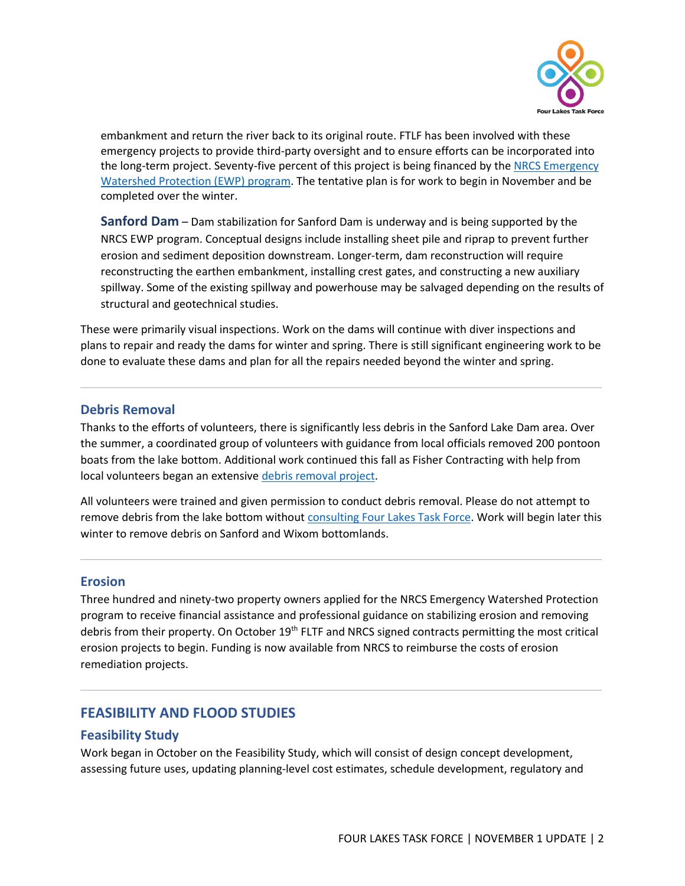

embankment and return the river back to its original route. FTLF has been involved with these emergency projects to provide third-party oversight and to ensure efforts can be incorporated into the long-term project. Seventy-five percent of this project is being financed by the NRCS Emergency [Watershed Protection \(EWP\)](https://www.four-lakes-taskforce-mi.com/erosion-financing.html#EWP) program. The tentative plan is for work to begin in November and be completed over the winter.

**Sanford Dam** – Dam stabilization for Sanford Dam is underway and is being supported by the NRCS EWP program. Conceptual designs include installing sheet pile and riprap to prevent further erosion and sediment deposition downstream. Longer-term, dam reconstruction will require reconstructing the earthen embankment, installing crest gates, and constructing a new auxiliary spillway. Some of the existing spillway and powerhouse may be salvaged depending on the results of structural and geotechnical studies.

These were primarily visual inspections. Work on the dams will continue with diver inspections and plans to repair and ready the dams for winter and spring. There is still significant engineering work to be done to evaluate these dams and plan for all the repairs needed beyond the winter and spring.

#### **Debris Removal**

Thanks to the efforts of volunteers, there is significantly less debris in the Sanford Lake Dam area. Over the summer, a coordinated group of volunteers with guidance from local officials removed 200 pontoon boats from the lake bottom. Additional work continued this fall as Fisher Contracting with help from local volunteers began an extensive [debris removal](https://www.four-lakes-taskforce-mi.com/debris-removal.html) project.

All volunteers were trained and given permission to conduct debris removal. Please do not attempt to remove debris from the lake bottom without [consulting Four Lakes Task Force.](https://www.four-lakes-taskforce-mi.com/contact.html) Work will begin later this winter to remove debris on Sanford and Wixom bottomlands.

#### **Erosion**

Three hundred and ninety-two property owners applied for the NRCS Emergency Watershed Protection program to receive financial assistance and professional guidance on stabilizing erosion and removing debris from their property. On October 19<sup>th</sup> FLTF and NRCS signed contracts permitting the most critical erosion projects to begin. Funding is now available from NRCS to reimburse the costs of erosion remediation projects.

# **FEASIBILITY AND FLOOD STUDIES**

#### **Feasibility Study**

Work began in October on the Feasibility Study, which will consist of design concept development, assessing future uses, updating planning-level cost estimates, schedule development, regulatory and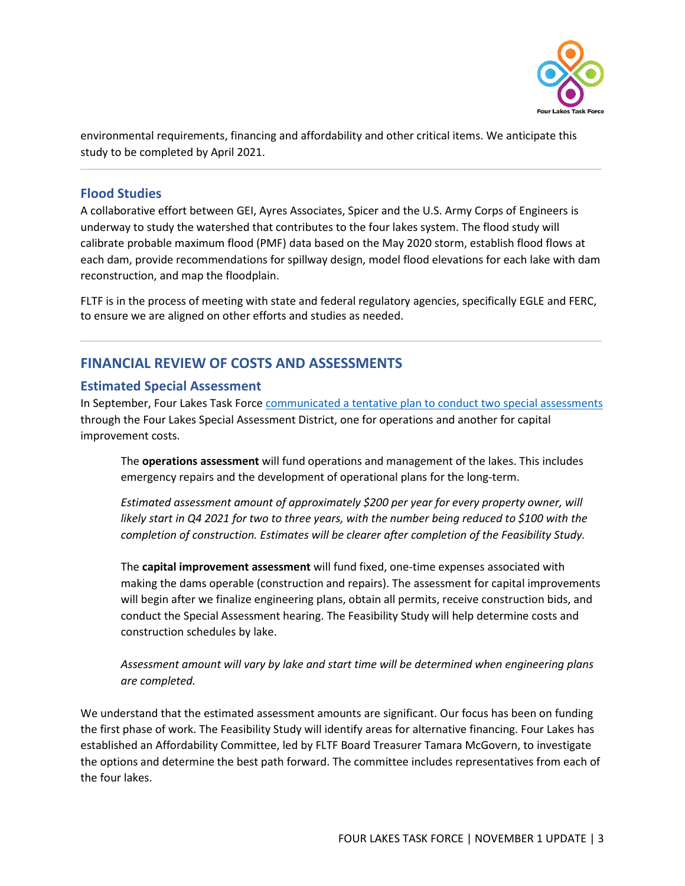

environmental requirements, financing and affordability and other critical items. We anticipate this study to be completed by April 2021.

### **Flood Studies**

A collaborative effort between GEI, Ayres Associates, Spicer and the U.S. Army Corps of Engineers is underway to study the watershed that contributes to the four lakes system. The flood study will calibrate probable maximum flood (PMF) data based on the May 2020 storm, establish flood flows at each dam, provide recommendations for spillway design, model flood elevations for each lake with dam reconstruction, and map the floodplain.

FLTF is in the process of meeting with state and federal regulatory agencies, specifically EGLE and FERC, to ensure we are aligned on other efforts and studies as needed.

# **FINANCIAL REVIEW OF COSTS AND ASSESSMENTS**

#### **Estimated Special Assessment**

In September, Four Lakes Task Forc[e communicated a tentative plan to conduct](https://www.four-lakes-taskforce-mi.com/special-assessment-district.html) two special assessments through the Four Lakes Special Assessment District, one for operations and another for capital improvement costs.

The **operations assessment** will fund operations and management of the lakes. This includes emergency repairs and the development of operational plans for the long-term.

*Estimated assessment amount of approximately \$200 per year for every property owner, will*  likely start in Q4 2021 for two to three years, with the number being reduced to \$100 with the *completion of construction. Estimates will be clearer after completion of the Feasibility Study.*

The **capital improvement assessment** will fund fixed, one-time expenses associated with making the dams operable (construction and repairs). The assessment for capital improvements will begin after we finalize engineering plans, obtain all permits, receive construction bids, and conduct the Special Assessment hearing. The Feasibility Study will help determine costs and construction schedules by lake.

*Assessment amount will vary by lake and start time will be determined when engineering plans are completed.*

We understand that the estimated assessment amounts are significant. Our focus has been on funding the first phase of work. The Feasibility Study will identify areas for alternative financing. Four Lakes has established an Affordability Committee, led by FLTF Board Treasurer Tamara McGovern, to investigate the options and determine the best path forward. The committee includes representatives from each of the four lakes.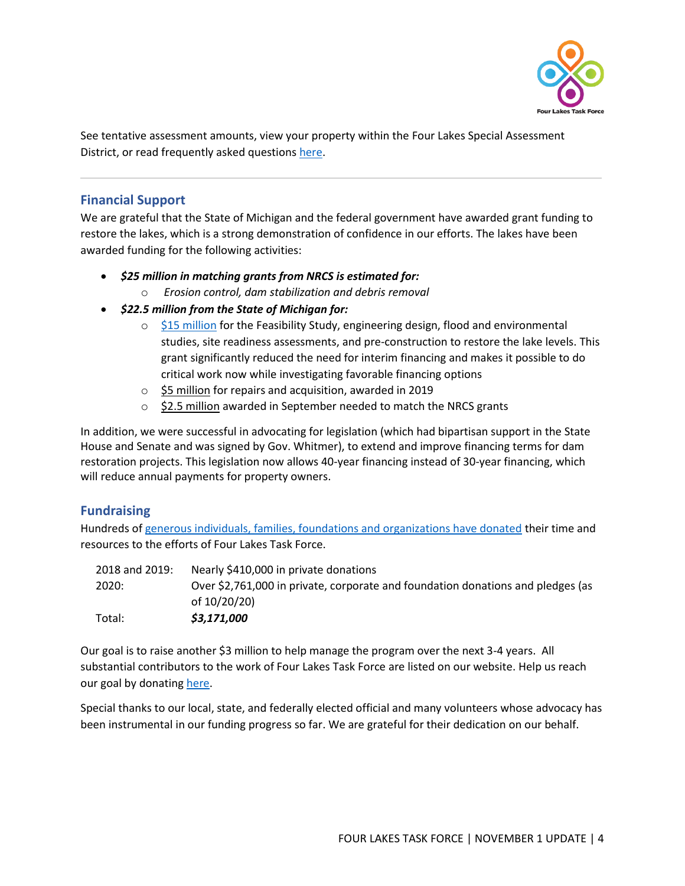

See tentative assessment amounts, view your property within the Four Lakes Special Assessment District, or read frequently asked question[s here.](https://www.four-lakes-taskforce-mi.com/special-assessment-district.html)

## **Financial Support**

We are grateful that the State of Michigan and the federal government have awarded grant funding to restore the lakes, which is a strong demonstration of confidence in our efforts. The lakes have been awarded funding for the following activities:

- *\$25 million in matching grants from NRCS is estimated for:*
	- o *Erosion control, dam stabilization and debris removal*
- *\$22.5 million from the State of Michigan for:*
	- $\circ$  [\\$15 million](https://www.four-lakes-taskforce-mi.com/updates/state-of-michigan-awards-15-million-grant) for the Feasibility Study, engineering design, flood and environmental studies, site readiness assessments, and pre-construction to restore the lake levels. This grant significantly reduced the need for interim financing and makes it possible to do critical work now while investigating favorable financing options
	- o \$5 million for repairs and acquisition, awarded in 2019
	- o \$2.5 million awarded in September needed to match the NRCS grants

In addition, we were successful in advocating for legislation (which had bipartisan support in the State House and Senate and was signed by Gov. Whitmer), to extend and improve financing terms for dam restoration projects. This legislation now allows 40-year financing instead of 30-year financing, which will reduce annual payments for property owners.

# **Fundraising**

Hundreds o[f generous individuals, families, foundations and organizations have donated](https://www.four-lakes-taskforce-mi.com/our-donors.html) their time and resources to the efforts of Four Lakes Task Force.

| Total:         | \$3,171,000                                                                     |
|----------------|---------------------------------------------------------------------------------|
|                | of 10/20/20)                                                                    |
| 2020:          | Over \$2,761,000 in private, corporate and foundation donations and pledges (as |
| 2018 and 2019: | Nearly \$410,000 in private donations                                           |

Our goal is to raise another \$3 million to help manage the program over the next 3-4 years. All substantial contributors to the work of Four Lakes Task Force are listed on our website. Help us reach our goal by donatin[g here.](https://www.four-lakes-taskforce-mi.com/donate.html)

Special thanks to our local, state, and federally elected official and many volunteers whose advocacy has been instrumental in our funding progress so far. We are grateful for their dedication on our behalf.